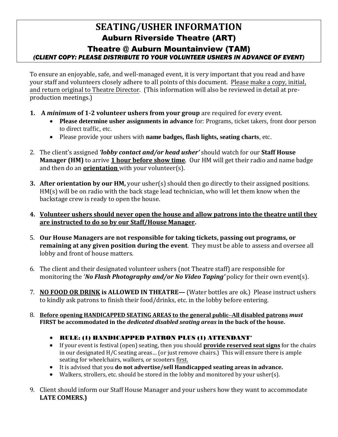## **SEATING/USHER INFORMATION**  Auburn Riverside Theatre (ART)

## Theatre @ Auburn Mountainview (TAM) *(CLIENT COPY: PLEASE DISTRIBUTE TO YOUR VOLUNTEER USHERS IN ADVANCE OF EVENT)*

To ensure an enjoyable, safe, and well-managed event, it is very important that you read and have your staff and volunteers closely adhere to all points of this document. Please make a copy, initial, and return original to Theatre Director. (This information will also be reviewed in detail at preproduction meetings.)

- **1. A** *minimum* **of 1-2 volunteer ushers from your group** are required for every event.
	- **Please determine usher assignments in advance** for: Programs, ticket takers, front door person to direct traffic, etc.
	- Please provide your ushers with **name badges, flash lights, seating charts**, etc.
- 2. The client's assigned *'lobby contact and/or head usher'* should watch for our **Staff House Manager (HM)** to arrive **1 hour before show time**. Our HM will get their radio and name badge and then do an **orientation** with your volunteer(s).
- **3. After orientation by our HM,** your usher(s) should then go directly to their assigned positions. HM(s) will be on radio with the back stage lead technician, who will let them know when the backstage crew is ready to open the house.
- **4. Volunteer ushers should never open the house and allow patrons into the theatre until they are instructed to do so by our Staff/House Manager.**
- 5. **Our House Managers are not responsible for taking tickets, passing out programs, or remaining at any given position during the event**. They must be able to assess and oversee all lobby and front of house matters.
- 6. The client and their designated volunteer ushers (not Theatre staff) are responsible for monitoring the '*No Flash Photography and/or No Video Taping'* policy for their own event(s).
- 7. **NO FOOD OR DRINK is ALLOWED IN THEATRE—** (Water bottles are ok.) Please instruct ushers to kindly ask patrons to finish their food/drinks, etc. in the lobby before entering.
- 8. **Before opening HANDICAPPED SEATING AREAS to the general public–All disabled patrons** *must* **FIRST be accommodated in the** *dedicated disabled seating areas* **in the back of the house.**
	- RULE: (1) HANDICAPPED PATRON PLUS (1) ATTENDANT\*
	- If your event is festival (open) seating, then you should **provide reserved seat signs** for the chairs in our designated H/C seating areas… (or just remove chairs.) This will ensure there is ample seating for wheelchairs, walkers, or scooters first.
	- It is advised that you **do not advertise/sell Handicapped seating areas in advance.**
	- Walkers, strollers, etc. should be stored in the lobby and monitored by your usher(s).
- 9. Client should inform our Staff House Manager and your ushers how they want to accommodate **LATE COMERS.)**